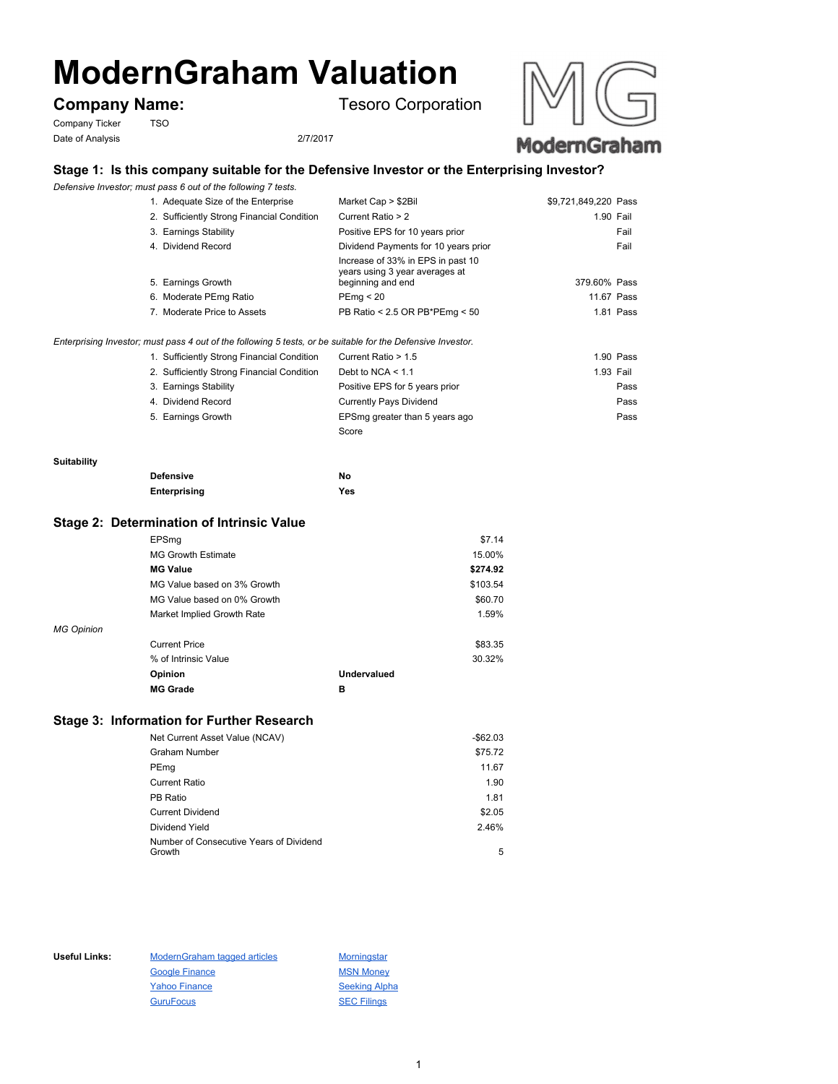# **ModernGraham Valuation**

Company Ticker TSO Date of Analysis 2/7/2017

**Company Name:** Tesoro Corporation



# **Stage 1: Is this company suitable for the Defensive Investor or the Enterprising Investor?**

*Defensive Investor; must pass 6 out of the following 7 tests.*

| 1. Adequate Size of the Enterprise                                                                          | Market Cap > \$2Bil                                                                      | \$9,721,849,220 Pass |            |
|-------------------------------------------------------------------------------------------------------------|------------------------------------------------------------------------------------------|----------------------|------------|
| 2. Sufficiently Strong Financial Condition                                                                  | Current Ratio > 2                                                                        |                      | 1.90 Fail  |
| 3. Earnings Stability                                                                                       | Positive EPS for 10 years prior                                                          |                      | Fail       |
| 4. Dividend Record                                                                                          | Dividend Payments for 10 years prior                                                     |                      | Fail       |
| 5. Earnings Growth                                                                                          | Increase of 33% in EPS in past 10<br>years using 3 year averages at<br>beginning and end | 379.60% Pass         |            |
| 6. Moderate PEmg Ratio                                                                                      | PEmq < 20                                                                                |                      | 11.67 Pass |
| 7. Moderate Price to Assets                                                                                 | PB Ratio < 2.5 OR PB*PEmg < $50$                                                         |                      | 1.81 Pass  |
| Enterprising Investor; must pass 4 out of the following 5 tests, or be suitable for the Defensive Investor. |                                                                                          |                      |            |
| 1. Sufficiently Strong Financial Condition                                                                  | Current Ratio > 1.5                                                                      |                      | 1.90 Pass  |
| 2. Sufficiently Strong Financial Condition                                                                  | Debt to NCA $<$ 1.1                                                                      |                      | 1.93 Fail  |
| 3. Earnings Stability                                                                                       | Positive EPS for 5 years prior                                                           |                      | Pass       |
| 4. Dividend Record                                                                                          | Currently Pays Dividend                                                                  |                      | Pass       |
| 5. Earnings Growth                                                                                          | EPSmg greater than 5 years ago                                                           |                      | Pass       |
|                                                                                                             | Score                                                                                    |                      |            |

#### **Suitability**

| <b>Defensive</b> | No  |
|------------------|-----|
| Enterprising     | Yes |

### **Stage 2: Determination of Intrinsic Value**

|            | EPSmq                       |             | \$7.14   |
|------------|-----------------------------|-------------|----------|
|            | <b>MG Growth Estimate</b>   |             | 15.00%   |
|            | <b>MG Value</b>             |             | \$274.92 |
|            | MG Value based on 3% Growth |             | \$103.54 |
|            | MG Value based on 0% Growth |             | \$60.70  |
|            | Market Implied Growth Rate  |             | 1.59%    |
| MG Opinion |                             |             |          |
|            | <b>Current Price</b>        |             | \$83.35  |
|            | % of Intrinsic Value        |             | 30.32%   |
|            | Opinion                     | Undervalued |          |
|            | <b>MG Grade</b>             | в           |          |
|            |                             |             |          |

# **Stage 3: Information for Further Research**

| Net Current Asset Value (NCAV)          | $-$ \$62.03 |
|-----------------------------------------|-------------|
| Graham Number                           | \$75.72     |
| PEmg                                    | 11.67       |
| <b>Current Ratio</b>                    | 1.90        |
| PB Ratio                                | 1.81        |
| <b>Current Dividend</b>                 | \$2.05      |
| Dividend Yield                          | 2.46%       |
| Number of Consecutive Years of Dividend |             |
| Growth                                  | 5           |

Useful Links: ModernGraham tagged articles Morningstar Google Finance MSN Money Yahoo Finance Seeking Alpha GuruFocus SEC Filings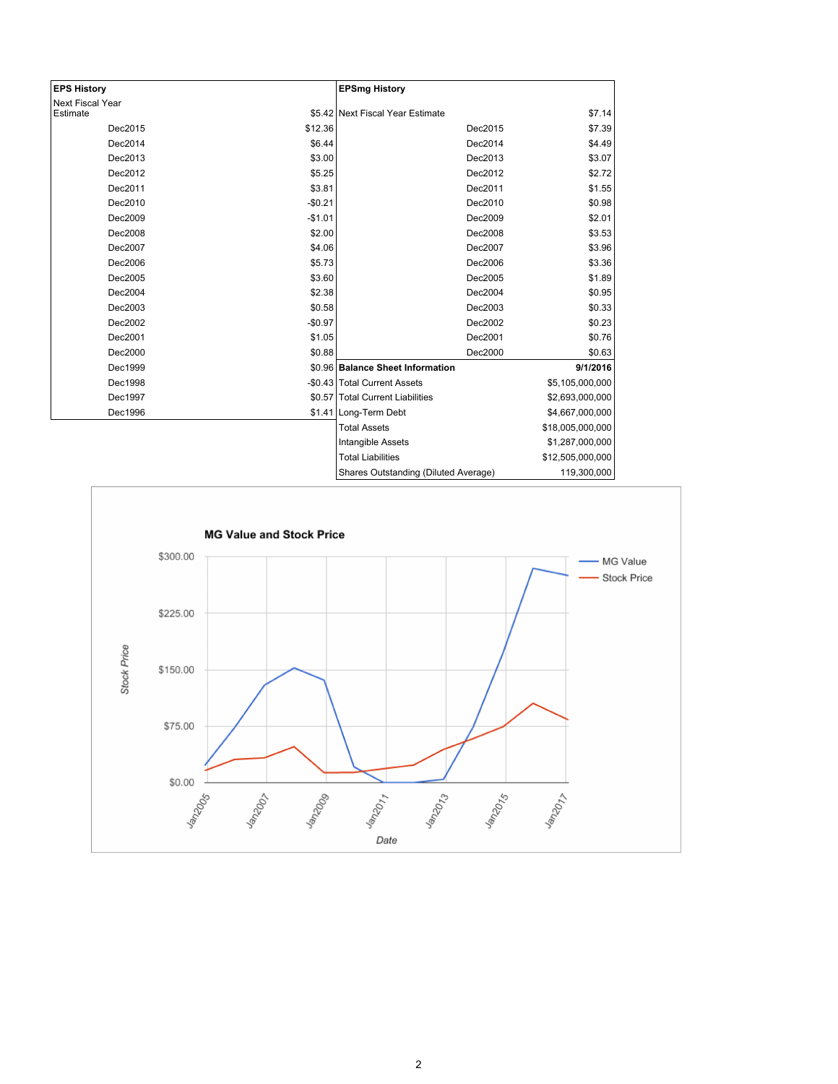| <b>EPS History</b>      |          | <b>EPSmg History</b>                 |                  |
|-------------------------|----------|--------------------------------------|------------------|
| <b>Next Fiscal Year</b> |          |                                      |                  |
| Estimate                |          | \$5.42 Next Fiscal Year Estimate     | \$7.14           |
| Dec2015                 | \$12.36  | Dec2015                              | \$7.39           |
| Dec2014                 | \$6.44   | Dec2014                              | \$4.49           |
| Dec2013                 | \$3.00   | Dec2013                              | \$3.07           |
| Dec2012                 | \$5.25   | Dec2012                              | \$2.72           |
| Dec2011                 | \$3.81   | Dec2011                              | \$1.55           |
| Dec2010                 | $-$0.21$ | Dec2010                              | \$0.98           |
| Dec2009                 | $-$1.01$ | Dec2009                              | \$2.01           |
| Dec2008                 | \$2.00   | Dec2008                              | \$3.53           |
| Dec2007                 | \$4.06   | Dec2007                              | \$3.96           |
| Dec2006                 | \$5.73   | Dec2006                              | \$3.36           |
| Dec2005                 | \$3.60   | Dec2005                              | \$1.89           |
| Dec2004                 | \$2.38   | Dec2004                              | \$0.95           |
| Dec2003                 | \$0.58   | Dec2003                              | \$0.33           |
| Dec2002                 | $-$0.97$ | Dec2002                              | \$0.23           |
| Dec2001                 | \$1.05   | Dec2001                              | \$0.76           |
| Dec2000                 | \$0.88   | Dec2000                              | \$0.63           |
| Dec1999                 |          | \$0.96 Balance Sheet Information     | 9/1/2016         |
| Dec1998                 |          | -\$0.43 Total Current Assets         | \$5,105,000,000  |
| Dec1997                 |          | \$0.57   Total Current Liabilities   | \$2,693,000,000  |
| Dec1996                 |          | \$1.41 Long-Term Debt                | \$4,667,000,000  |
|                         |          | <b>Total Assets</b>                  | \$18,005,000,000 |
|                         |          | Intangible Assets                    | \$1,287,000,000  |
|                         |          | <b>Total Liabilities</b>             | \$12,505,000,000 |
|                         |          | Shares Outstanding (Diluted Average) | 119,300,000      |